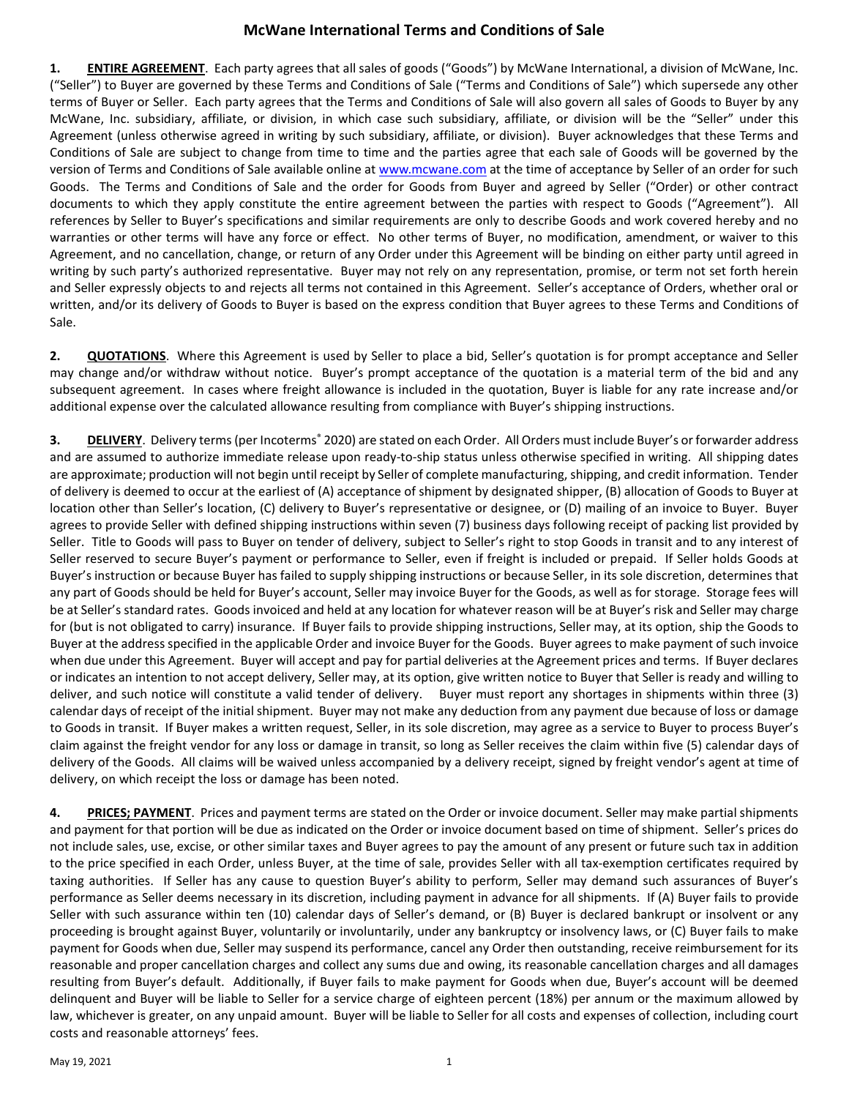## **McWane International Terms and Conditions of Sale**

**1. ENTIRE AGREEMENT**. Each party agrees that all sales of goods ("Goods") by McWane International, a division of McWane, Inc. ("Seller") to Buyer are governed by these Terms and Conditions of Sale ("Terms and Conditions of Sale") which supersede any other terms of Buyer or Seller. Each party agrees that the Terms and Conditions of Sale will also govern all sales of Goods to Buyer by any McWane, Inc. subsidiary, affiliate, or division, in which case such subsidiary, affiliate, or division will be the "Seller" under this Agreement (unless otherwise agreed in writing by such subsidiary, affiliate, or division). Buyer acknowledges that these Terms and Conditions of Sale are subject to change from time to time and the parties agree that each sale of Goods will be governed by the version of Terms and Conditions of Sale available online a[t www.mcwane.com](http://www.mcwane.com/) at the time of acceptance by Seller of an order for such Goods. The Terms and Conditions of Sale and the order for Goods from Buyer and agreed by Seller ("Order) or other contract documents to which they apply constitute the entire agreement between the parties with respect to Goods ("Agreement"). All references by Seller to Buyer's specifications and similar requirements are only to describe Goods and work covered hereby and no warranties or other terms will have any force or effect. No other terms of Buyer, no modification, amendment, or waiver to this Agreement, and no cancellation, change, or return of any Order under this Agreement will be binding on either party until agreed in writing by such party's authorized representative. Buyer may not rely on any representation, promise, or term not set forth herein and Seller expressly objects to and rejects all terms not contained in this Agreement. Seller's acceptance of Orders, whether oral or written, and/or its delivery of Goods to Buyer is based on the express condition that Buyer agrees to these Terms and Conditions of Sale.

**2. QUOTATIONS**. Where this Agreement is used by Seller to place a bid, Seller's quotation is for prompt acceptance and Seller may change and/or withdraw without notice. Buyer's prompt acceptance of the quotation is a material term of the bid and any subsequent agreement. In cases where freight allowance is included in the quotation, Buyer is liable for any rate increase and/or additional expense over the calculated allowance resulting from compliance with Buyer's shipping instructions.

**3. DELIVERY**. Delivery terms (per Incoterms<sup>®</sup> 2020) are stated on each Order. All Orders must include Buyer's or forwarder address and are assumed to authorize immediate release upon ready-to-ship status unless otherwise specified in writing. All shipping dates are approximate; production will not begin until receipt by Seller of complete manufacturing, shipping, and credit information. Tender of delivery is deemed to occur at the earliest of (A) acceptance of shipment by designated shipper, (B) allocation of Goods to Buyer at location other than Seller's location, (C) delivery to Buyer's representative or designee, or (D) mailing of an invoice to Buyer. Buyer agrees to provide Seller with defined shipping instructions within seven (7) business days following receipt of packing list provided by Seller. Title to Goods will pass to Buyer on tender of delivery, subject to Seller's right to stop Goods in transit and to any interest of Seller reserved to secure Buyer's payment or performance to Seller, even if freight is included or prepaid. If Seller holds Goods at Buyer's instruction or because Buyer has failed to supply shipping instructions or because Seller, in its sole discretion, determines that any part of Goods should be held for Buyer's account, Seller may invoice Buyer for the Goods, as well as for storage. Storage fees will be at Seller's standard rates. Goods invoiced and held at any location for whatever reason will be at Buyer's risk and Seller may charge for (but is not obligated to carry) insurance. If Buyer fails to provide shipping instructions, Seller may, at its option, ship the Goods to Buyer at the address specified in the applicable Order and invoice Buyer for the Goods. Buyer agrees to make payment of such invoice when due under this Agreement. Buyer will accept and pay for partial deliveries at the Agreement prices and terms. If Buyer declares or indicates an intention to not accept delivery, Seller may, at its option, give written notice to Buyer that Seller is ready and willing to deliver, and such notice will constitute a valid tender of delivery. Buyer must report any shortages in shipments within three (3) calendar days of receipt of the initial shipment. Buyer may not make any deduction from any payment due because of loss or damage to Goods in transit. If Buyer makes a written request, Seller, in its sole discretion, may agree as a service to Buyer to process Buyer's claim against the freight vendor for any loss or damage in transit, so long as Seller receives the claim within five (5) calendar days of delivery of the Goods. All claims will be waived unless accompanied by a delivery receipt, signed by freight vendor's agent at time of delivery, on which receipt the loss or damage has been noted.

**4. PRICES; PAYMENT**. Prices and payment terms are stated on the Order or invoice document. Seller may make partial shipments and payment for that portion will be due as indicated on the Order or invoice document based on time of shipment. Seller's prices do not include sales, use, excise, or other similar taxes and Buyer agrees to pay the amount of any present or future such tax in addition to the price specified in each Order, unless Buyer, at the time of sale, provides Seller with all tax-exemption certificates required by taxing authorities. If Seller has any cause to question Buyer's ability to perform, Seller may demand such assurances of Buyer's performance as Seller deems necessary in its discretion, including payment in advance for all shipments. If (A) Buyer fails to provide Seller with such assurance within ten (10) calendar days of Seller's demand, or (B) Buyer is declared bankrupt or insolvent or any proceeding is brought against Buyer, voluntarily or involuntarily, under any bankruptcy or insolvency laws, or (C) Buyer fails to make payment for Goods when due, Seller may suspend its performance, cancel any Order then outstanding, receive reimbursement for its reasonable and proper cancellation charges and collect any sums due and owing, its reasonable cancellation charges and all damages resulting from Buyer's default. Additionally, if Buyer fails to make payment for Goods when due, Buyer's account will be deemed delinquent and Buyer will be liable to Seller for a service charge of eighteen percent (18%) per annum or the maximum allowed by law, whichever is greater, on any unpaid amount. Buyer will be liable to Seller for all costs and expenses of collection, including court costs and reasonable attorneys' fees.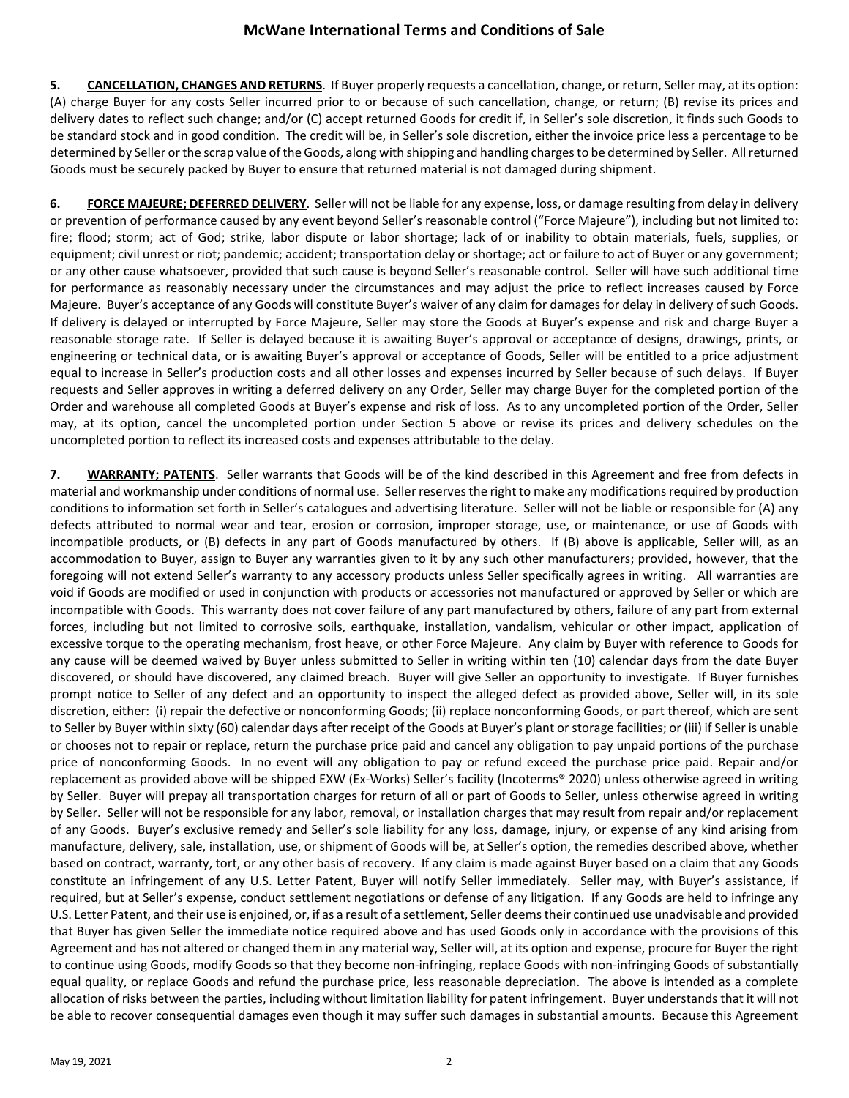**5. CANCELLATION, CHANGES AND RETURNS**. If Buyer properly requests a cancellation, change, or return, Seller may, at its option: (A) charge Buyer for any costs Seller incurred prior to or because of such cancellation, change, or return; (B) revise its prices and delivery dates to reflect such change; and/or (C) accept returned Goods for credit if, in Seller's sole discretion, it finds such Goods to be standard stock and in good condition. The credit will be, in Seller's sole discretion, either the invoice price less a percentage to be determined by Seller or the scrap value of the Goods, along with shipping and handling charges to be determined by Seller. All returned Goods must be securely packed by Buyer to ensure that returned material is not damaged during shipment.

**6. FORCE MAJEURE; DEFERRED DELIVERY**. Seller will not be liable for any expense, loss, or damage resulting from delay in delivery or prevention of performance caused by any event beyond Seller's reasonable control ("Force Majeure"), including but not limited to: fire; flood; storm; act of God; strike, labor dispute or labor shortage; lack of or inability to obtain materials, fuels, supplies, or equipment; civil unrest or riot; pandemic; accident; transportation delay or shortage; act or failure to act of Buyer or any government; or any other cause whatsoever, provided that such cause is beyond Seller's reasonable control. Seller will have such additional time for performance as reasonably necessary under the circumstances and may adjust the price to reflect increases caused by Force Majeure. Buyer's acceptance of any Goods will constitute Buyer's waiver of any claim for damages for delay in delivery of such Goods. If delivery is delayed or interrupted by Force Majeure, Seller may store the Goods at Buyer's expense and risk and charge Buyer a reasonable storage rate. If Seller is delayed because it is awaiting Buyer's approval or acceptance of designs, drawings, prints, or engineering or technical data, or is awaiting Buyer's approval or acceptance of Goods, Seller will be entitled to a price adjustment equal to increase in Seller's production costs and all other losses and expenses incurred by Seller because of such delays. If Buyer requests and Seller approves in writing a deferred delivery on any Order, Seller may charge Buyer for the completed portion of the Order and warehouse all completed Goods at Buyer's expense and risk of loss. As to any uncompleted portion of the Order, Seller may, at its option, cancel the uncompleted portion under Section 5 above or revise its prices and delivery schedules on the uncompleted portion to reflect its increased costs and expenses attributable to the delay.

**7. WARRANTY; PATENTS**. Seller warrants that Goods will be of the kind described in this Agreement and free from defects in material and workmanship under conditions of normal use. Seller reserves the right to make any modifications required by production conditions to information set forth in Seller's catalogues and advertising literature. Seller will not be liable or responsible for (A) any defects attributed to normal wear and tear, erosion or corrosion, improper storage, use, or maintenance, or use of Goods with incompatible products, or (B) defects in any part of Goods manufactured by others. If (B) above is applicable, Seller will, as an accommodation to Buyer, assign to Buyer any warranties given to it by any such other manufacturers; provided, however, that the foregoing will not extend Seller's warranty to any accessory products unless Seller specifically agrees in writing. All warranties are void if Goods are modified or used in conjunction with products or accessories not manufactured or approved by Seller or which are incompatible with Goods. This warranty does not cover failure of any part manufactured by others, failure of any part from external forces, including but not limited to corrosive soils, earthquake, installation, vandalism, vehicular or other impact, application of excessive torque to the operating mechanism, frost heave, or other Force Majeure. Any claim by Buyer with reference to Goods for any cause will be deemed waived by Buyer unless submitted to Seller in writing within ten (10) calendar days from the date Buyer discovered, or should have discovered, any claimed breach. Buyer will give Seller an opportunity to investigate. If Buyer furnishes prompt notice to Seller of any defect and an opportunity to inspect the alleged defect as provided above, Seller will, in its sole discretion, either: (i) repair the defective or nonconforming Goods; (ii) replace nonconforming Goods, or part thereof, which are sent to Seller by Buyer within sixty (60) calendar days after receipt of the Goods at Buyer's plant or storage facilities; or (iii) if Seller is unable or chooses not to repair or replace, return the purchase price paid and cancel any obligation to pay unpaid portions of the purchase price of nonconforming Goods. In no event will any obligation to pay or refund exceed the purchase price paid. Repair and/or replacement as provided above will be shipped EXW (Ex-Works) Seller's facility (Incoterms® 2020) unless otherwise agreed in writing by Seller. Buyer will prepay all transportation charges for return of all or part of Goods to Seller, unless otherwise agreed in writing by Seller. Seller will not be responsible for any labor, removal, or installation charges that may result from repair and/or replacement of any Goods. Buyer's exclusive remedy and Seller's sole liability for any loss, damage, injury, or expense of any kind arising from manufacture, delivery, sale, installation, use, or shipment of Goods will be, at Seller's option, the remedies described above, whether based on contract, warranty, tort, or any other basis of recovery. If any claim is made against Buyer based on a claim that any Goods constitute an infringement of any U.S. Letter Patent, Buyer will notify Seller immediately. Seller may, with Buyer's assistance, if required, but at Seller's expense, conduct settlement negotiations or defense of any litigation. If any Goods are held to infringe any U.S. Letter Patent, and their use is enjoined, or, if as a result of a settlement, Seller deems their continued use unadvisable and provided that Buyer has given Seller the immediate notice required above and has used Goods only in accordance with the provisions of this Agreement and has not altered or changed them in any material way, Seller will, at its option and expense, procure for Buyer the right to continue using Goods, modify Goods so that they become non-infringing, replace Goods with non-infringing Goods of substantially equal quality, or replace Goods and refund the purchase price, less reasonable depreciation. The above is intended as a complete allocation of risks between the parties, including without limitation liability for patent infringement. Buyer understands that it will not be able to recover consequential damages even though it may suffer such damages in substantial amounts. Because this Agreement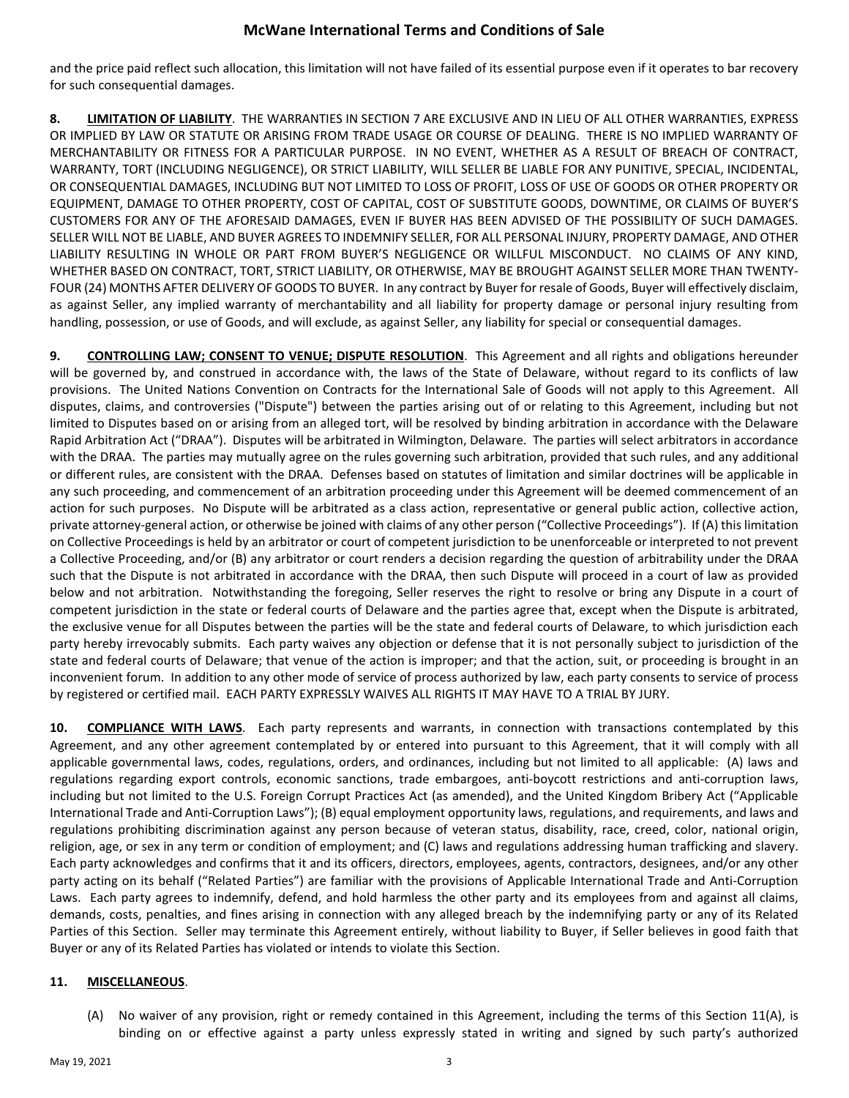## **McWane International Terms and Conditions of Sale**

and the price paid reflect such allocation, this limitation will not have failed of its essential purpose even if it operates to bar recovery for such consequential damages.

**8. LIMITATION OF LIABILITY**. THE WARRANTIES IN SECTION 7 ARE EXCLUSIVE AND IN LIEU OF ALL OTHER WARRANTIES, EXPRESS OR IMPLIED BY LAW OR STATUTE OR ARISING FROM TRADE USAGE OR COURSE OF DEALING. THERE IS NO IMPLIED WARRANTY OF MERCHANTABILITY OR FITNESS FOR A PARTICULAR PURPOSE. IN NO EVENT, WHETHER AS A RESULT OF BREACH OF CONTRACT, WARRANTY, TORT (INCLUDING NEGLIGENCE), OR STRICT LIABILITY, WILL SELLER BE LIABLE FOR ANY PUNITIVE, SPECIAL, INCIDENTAL, OR CONSEQUENTIAL DAMAGES, INCLUDING BUT NOT LIMITED TO LOSS OF PROFIT, LOSS OF USE OF GOODS OR OTHER PROPERTY OR EQUIPMENT, DAMAGE TO OTHER PROPERTY, COST OF CAPITAL, COST OF SUBSTITUTE GOODS, DOWNTIME, OR CLAIMS OF BUYER'S CUSTOMERS FOR ANY OF THE AFORESAID DAMAGES, EVEN IF BUYER HAS BEEN ADVISED OF THE POSSIBILITY OF SUCH DAMAGES. SELLER WILL NOT BE LIABLE, AND BUYER AGREES TO INDEMNIFY SELLER, FOR ALL PERSONAL INJURY, PROPERTY DAMAGE, AND OTHER LIABILITY RESULTING IN WHOLE OR PART FROM BUYER'S NEGLIGENCE OR WILLFUL MISCONDUCT. NO CLAIMS OF ANY KIND, WHETHER BASED ON CONTRACT, TORT, STRICT LIABILITY, OR OTHERWISE, MAY BE BROUGHT AGAINST SELLER MORE THAN TWENTY-FOUR (24) MONTHS AFTER DELIVERY OF GOODS TO BUYER. In any contract by Buyer for resale of Goods, Buyer will effectively disclaim, as against Seller, any implied warranty of merchantability and all liability for property damage or personal injury resulting from handling, possession, or use of Goods, and will exclude, as against Seller, any liability for special or consequential damages.

**9. CONTROLLING LAW; CONSENT TO VENUE; DISPUTE RESOLUTION**. This Agreement and all rights and obligations hereunder will be governed by, and construed in accordance with, the laws of the State of Delaware, without regard to its conflicts of law provisions. The United Nations Convention on Contracts for the International Sale of Goods will not apply to this Agreement. All disputes, claims, and controversies ("Dispute") between the parties arising out of or relating to this Agreement, including but not limited to Disputes based on or arising from an alleged tort, will be resolved by binding arbitration in accordance with the Delaware Rapid Arbitration Act ("DRAA"). Disputes will be arbitrated in Wilmington, Delaware. The parties will select arbitrators in accordance with the DRAA. The parties may mutually agree on the rules governing such arbitration, provided that such rules, and any additional or different rules, are consistent with the DRAA. Defenses based on statutes of limitation and similar doctrines will be applicable in any such proceeding, and commencement of an arbitration proceeding under this Agreement will be deemed commencement of an action for such purposes. No Dispute will be arbitrated as a class action, representative or general public action, collective action, private attorney-general action, or otherwise be joined with claims of any other person ("Collective Proceedings"). If (A) this limitation on Collective Proceedings is held by an arbitrator or court of competent jurisdiction to be unenforceable or interpreted to not prevent a Collective Proceeding, and/or (B) any arbitrator or court renders a decision regarding the question of arbitrability under the DRAA such that the Dispute is not arbitrated in accordance with the DRAA, then such Dispute will proceed in a court of law as provided below and not arbitration. Notwithstanding the foregoing, Seller reserves the right to resolve or bring any Dispute in a court of competent jurisdiction in the state or federal courts of Delaware and the parties agree that, except when the Dispute is arbitrated, the exclusive venue for all Disputes between the parties will be the state and federal courts of Delaware, to which jurisdiction each party hereby irrevocably submits. Each party waives any objection or defense that it is not personally subject to jurisdiction of the state and federal courts of Delaware; that venue of the action is improper; and that the action, suit, or proceeding is brought in an inconvenient forum. In addition to any other mode of service of process authorized by law, each party consents to service of process by registered or certified mail. EACH PARTY EXPRESSLY WAIVES ALL RIGHTS IT MAY HAVE TO A TRIAL BY JURY.

**10. COMPLIANCE WITH LAWS**. Each party represents and warrants, in connection with transactions contemplated by this Agreement, and any other agreement contemplated by or entered into pursuant to this Agreement, that it will comply with all applicable governmental laws, codes, regulations, orders, and ordinances, including but not limited to all applicable: (A) laws and regulations regarding export controls, economic sanctions, trade embargoes, anti-boycott restrictions and anti-corruption laws, including but not limited to the U.S. Foreign Corrupt Practices Act (as amended), and the United Kingdom Bribery Act ("Applicable International Trade and Anti-Corruption Laws"); (B) equal employment opportunity laws, regulations, and requirements, and laws and regulations prohibiting discrimination against any person because of veteran status, disability, race, creed, color, national origin, religion, age, or sex in any term or condition of employment; and (C) laws and regulations addressing human trafficking and slavery. Each party acknowledges and confirms that it and its officers, directors, employees, agents, contractors, designees, and/or any other party acting on its behalf ("Related Parties") are familiar with the provisions of Applicable International Trade and Anti-Corruption Laws. Each party agrees to indemnify, defend, and hold harmless the other party and its employees from and against all claims, demands, costs, penalties, and fines arising in connection with any alleged breach by the indemnifying party or any of its Related Parties of this Section. Seller may terminate this Agreement entirely, without liability to Buyer, if Seller believes in good faith that Buyer or any of its Related Parties has violated or intends to violate this Section.

## **11. MISCELLANEOUS**.

(A) No waiver of any provision, right or remedy contained in this Agreement, including the terms of this Section 11(A), is binding on or effective against a party unless expressly stated in writing and signed by such party's authorized